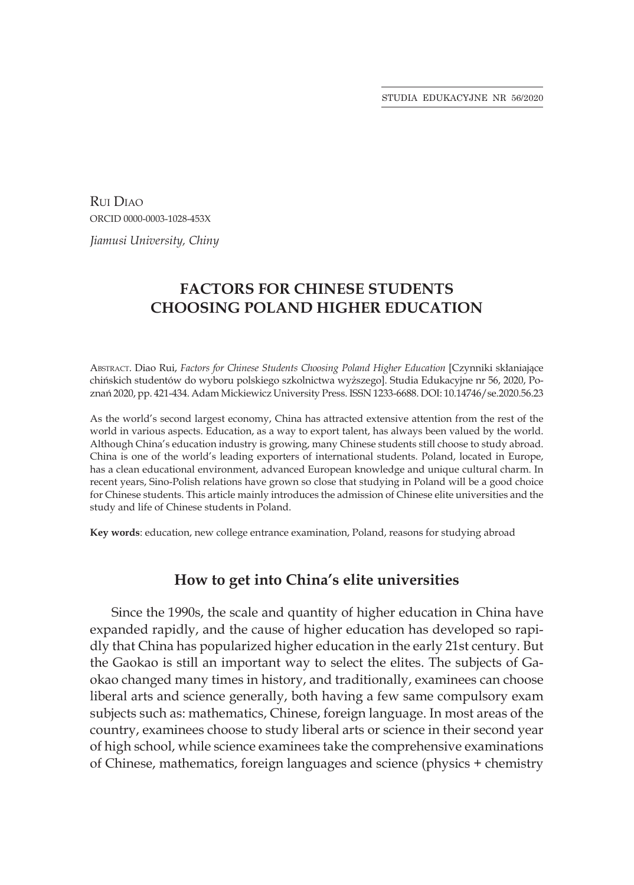Rui Diao ORCID 0000-0003-1028-453X

*Jiamusi University, Chiny*

# **FACTORS FOR CHINESE STUDENTS CHOOSING POLAND HIGHER EDUCATION**

Abstract. Diao Rui, *Factors for Chinese Students Choosing Poland Higher Education* [Czynniki skłaniające chińskich studentów do wyboru polskiego szkolnictwa wyższego]. Studia Edukacyjne nr 56, 2020, Poznań 2020, pp. 421-434. Adam Mickiewicz University Press. ISSN 1233-6688. DOI: 10.14746/se.2020.56.23

As the world's second largest economy, China has attracted extensive attention from the rest of the world in various aspects. Education, as a way to export talent, has always been valued by the world. Although China's education industry is growing, many Chinese students still choose to study abroad. China is one of the world's leading exporters of international students. Poland, located in Europe, has a clean educational environment, advanced European knowledge and unique cultural charm. In recent years, Sino-Polish relations have grown so close that studying in Poland will be a good choice for Chinese students. This article mainly introduces the admission of Chinese elite universities and the study and life of Chinese students in Poland.

**Key words**: education, new college entrance examination, Poland, reasons for studying abroad

### **How to get into China's elite universities**

Since the 1990s, the scale and quantity of higher education in China have expanded rapidly, and the cause of higher education has developed so rapidly that China has popularized higher education in the early 21st century. But the Gaokao is still an important way to select the elites. The subjects of Gaokao changed many times in history, and traditionally, examinees can choose liberal arts and science generally, both having a few same compulsory exam subjects such as: mathematics, Chinese, foreign language. In most areas of the country, examinees choose to study liberal arts or science in their second year of high school, while science examinees take the comprehensive examinations of Chinese, mathematics, foreign languages and science (physics + chemistry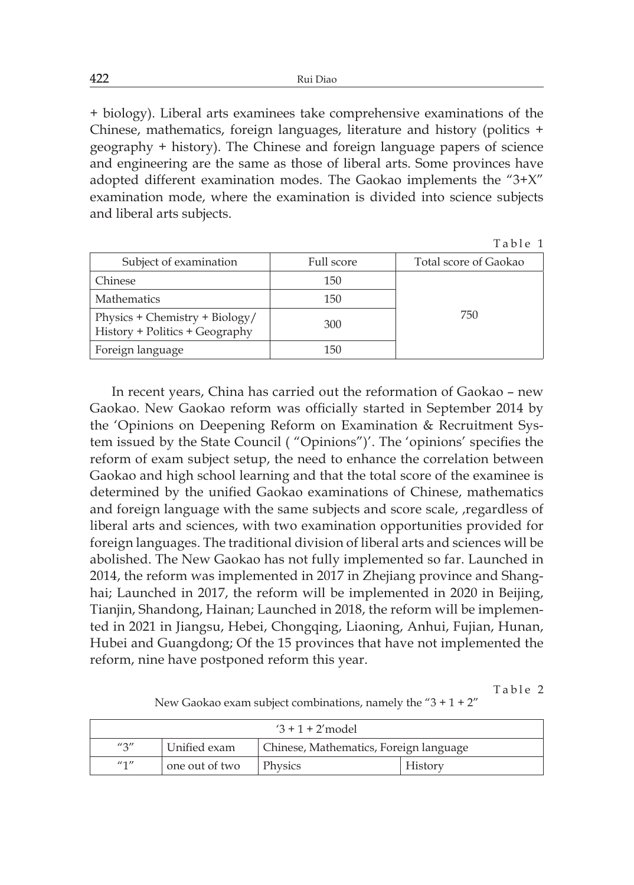+ biology). Liberal arts examinees take comprehensive examinations of the Chinese, mathematics, foreign languages, literature and history (politics + geography + history). The Chinese and foreign language papers of science and engineering are the same as those of liberal arts. Some provinces have adopted different examination modes. The Gaokao implements the "3+X" examination mode, where the examination is divided into science subjects and liberal arts subjects.

Table 1

| Subject of examination                                           | Full score | Total score of Gaokao |
|------------------------------------------------------------------|------------|-----------------------|
| Chinese                                                          | 150        |                       |
| <b>Mathematics</b>                                               | 150        |                       |
| Physics + Chemistry + Biology/<br>History + Politics + Geography | 300        | 750                   |
| Foreign language                                                 | 150        |                       |

In recent years, China has carried out the reformation of Gaokao – new Gaokao. New Gaokao reform was officially started in September 2014 by the 'Opinions on Deepening Reform on Examination & Recruitment System issued by the State Council ( "Opinions")'. The 'opinions' specifies the reform of exam subject setup, the need to enhance the correlation between Gaokao and high school learning and that the total score of the examinee is determined by the unified Gaokao examinations of Chinese, mathematics and foreign language with the same subjects and score scale, ,regardless of liberal arts and sciences, with two examination opportunities provided for foreign languages. The traditional division of liberal arts and sciences will be abolished. The New Gaokao has not fully implemented so far. Launched in 2014, the reform was implemented in 2017 in Zhejiang province and Shanghai; Launched in 2017, the reform will be implemented in 2020 in Beijing, Tianjin, Shandong, Hainan; Launched in 2018, the reform will be implemented in 2021 in Jiangsu, Hebei, Chongqing, Liaoning, Anhui, Fujian, Hunan, Hubei and Guangdong; Of the 15 provinces that have not implemented the reform, nine have postponed reform this year.

Table 2

New Gaokao exam subject combinations, namely the " $3 + 1 + 2$ "

| $3 + 1 + 2'$ model   |                |                                        |         |  |
|----------------------|----------------|----------------------------------------|---------|--|
| $^{\prime\prime}$ 2" | Unified exam   | Chinese, Mathematics, Foreign language |         |  |
| $^{\prime\prime}$ 1" | one out of two | Physics                                | History |  |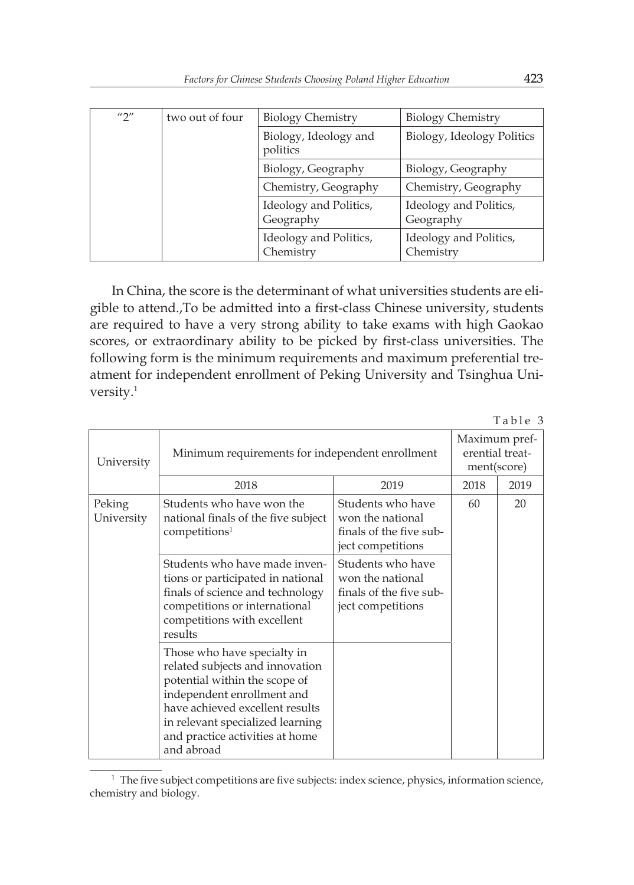| $^{\prime\prime}$ | two out of four | <b>Biology Chemistry</b>            | <b>Biology Chemistry</b>            |
|-------------------|-----------------|-------------------------------------|-------------------------------------|
|                   |                 | Biology, Ideology and<br>politics   | Biology, Ideology Politics          |
|                   |                 | Biology, Geography                  | Biology, Geography                  |
|                   |                 | Chemistry, Geography                | Chemistry, Geography                |
|                   |                 | Ideology and Politics,<br>Geography | Ideology and Politics,<br>Geography |
|                   |                 | Ideology and Politics,<br>Chemistry | Ideology and Politics,<br>Chemistry |

In China, the score is the determinant of what universities students are eligible to attend.,To be admitted into a first-class Chinese university, students are required to have a very strong ability to take exams with high Gaokao scores, or extraordinary ability to be picked by first-class universities. The following form is the minimum requirements and maximum preferential treatment for independent enrollment of Peking University and Tsinghua University.<sup>1</sup>

|                      |                                                                                                                                                                                                                                                       |                                                                                       |      | Table 3 |
|----------------------|-------------------------------------------------------------------------------------------------------------------------------------------------------------------------------------------------------------------------------------------------------|---------------------------------------------------------------------------------------|------|---------|
| University           | Minimum requirements for independent enrollment                                                                                                                                                                                                       | Maximum pref-<br>erential treat-<br>ment(score)                                       |      |         |
|                      | 2018                                                                                                                                                                                                                                                  | 2019                                                                                  | 2018 | 2019    |
| Peking<br>University | Students who have won the<br>national finals of the five subject<br>competitions <sup>1</sup>                                                                                                                                                         | Students who have<br>won the national<br>finals of the five sub-<br>ject competitions | 60   | 20      |
|                      | Students who have made inven-<br>tions or participated in national<br>finals of science and technology<br>competitions or international<br>competitions with excellent<br>results                                                                     | Students who have<br>won the national<br>finals of the five sub-<br>ject competitions |      |         |
|                      | Those who have specialty in<br>related subjects and innovation<br>potential within the scope of<br>independent enrollment and<br>have achieved excellent results<br>in relevant specialized learning<br>and practice activities at home<br>and abroad |                                                                                       |      |         |

<sup>&</sup>lt;sup>1</sup> The five subject competitions are five subjects: index science, physics, information science, chemistry and biology.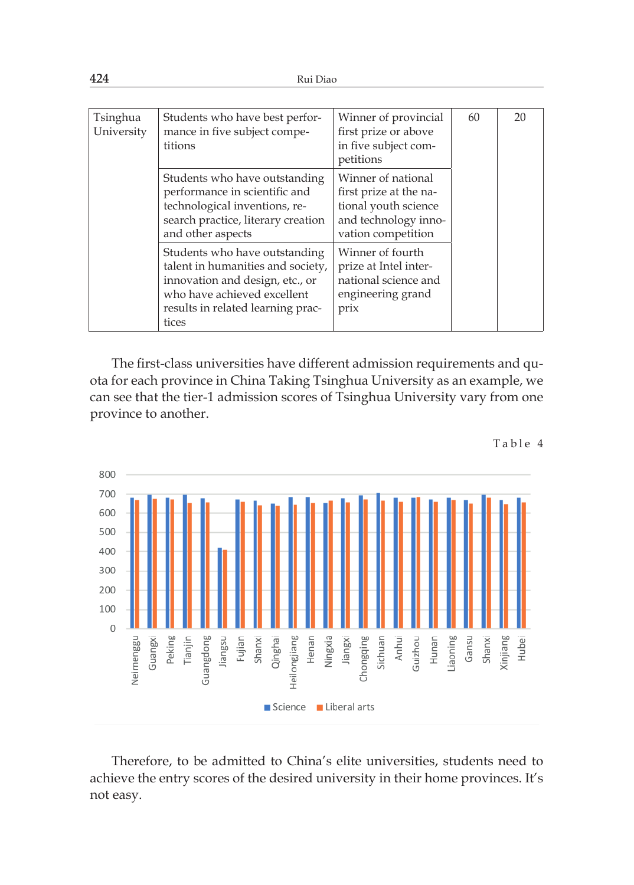| Tsinghua<br>University | Students who have best perfor-<br>mance in five subject compe-<br>titions                                                                                                          | Winner of provincial<br>first prize or above<br>in five subject com-<br>petitions                                  | 60 | 20 |
|------------------------|------------------------------------------------------------------------------------------------------------------------------------------------------------------------------------|--------------------------------------------------------------------------------------------------------------------|----|----|
|                        | Students who have outstanding<br>performance in scientific and<br>technological inventions, re-<br>search practice, literary creation<br>and other aspects                         | Winner of national<br>first prize at the na-<br>tional youth science<br>and technology inno-<br>vation competition |    |    |
|                        | Students who have outstanding<br>talent in humanities and society,<br>innovation and design, etc., or<br>who have achieved excellent<br>results in related learning prac-<br>tices | Winner of fourth<br>prize at Intel inter-<br>national science and<br>engineering grand<br>prix                     |    |    |

The first-class universities have different admission requirements and quota for each province in China Taking Tsinghua University as an example, we can see that the tier-1 admission scores of Tsinghua University vary from one province to another.



Therefore, to be admitted to China's elite universities, students need to achieve the entry scores of the desired university in their home provinces. It's not easy.

Table 4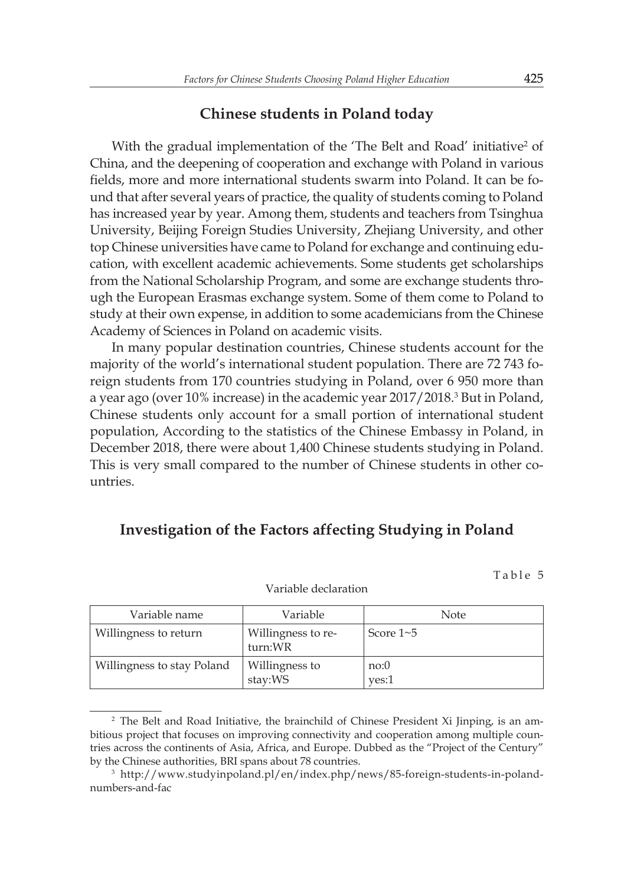#### **Chinese students in Poland today**

With the gradual implementation of the 'The Belt and Road' initiative<sup>2</sup> of China, and the deepening of cooperation and exchange with Poland in various fields, more and more international students swarm into Poland. It can be found that after several years of practice, the quality of students coming to Poland has increased year by year. Among them, students and teachers from Tsinghua University, Beijing Foreign Studies University, Zhejiang University, and other top Chinese universities have came to Poland for exchange and continuing education, with excellent academic achievements. Some students get scholarships from the National Scholarship Program, and some are exchange students through the European Erasmas exchange system. Some of them come to Poland to study at their own expense, in addition to some academicians from the Chinese Academy of Sciences in Poland on academic visits.

In many popular destination countries, Chinese students account for the majority of the world's international student population. There are 72 743 foreign students from 170 countries studying in Poland, over 6 950 more than a year ago (over 10% increase) in the academic year 2017/2018.<sup>3</sup> But in Poland, Chinese students only account for a small portion of international student population, According to the statistics of the Chinese Embassy in Poland, in December 2018, there were about 1,400 Chinese students studying in Poland. This is very small compared to the number of Chinese students in other countries.

## **Investigation of the Factors affecting Studying in Poland**

Table 5

| Variable name              | Variable                      | <b>Note</b>     |
|----------------------------|-------------------------------|-----------------|
| Willingness to return      | Willingness to re-<br>turn:WR | Score $1\neg 5$ |
| Willingness to stay Poland | Willingness to<br>stay:WS     | no:0<br>yes:1   |

Variable declaration

<sup>&</sup>lt;sup>2</sup> The Belt and Road Initiative, the brainchild of Chinese President Xi Jinping, is an ambitious project that focuses on improving connectivity and cooperation among multiple countries across the continents of Asia, Africa, and Europe. Dubbed as the "Project of the Century" by the Chinese authorities, BRI spans about 78 countries.

<sup>3</sup> http://www.studyinpoland.pl/en/index.php/news/85-foreign-students-in-polandnumbers-and-fac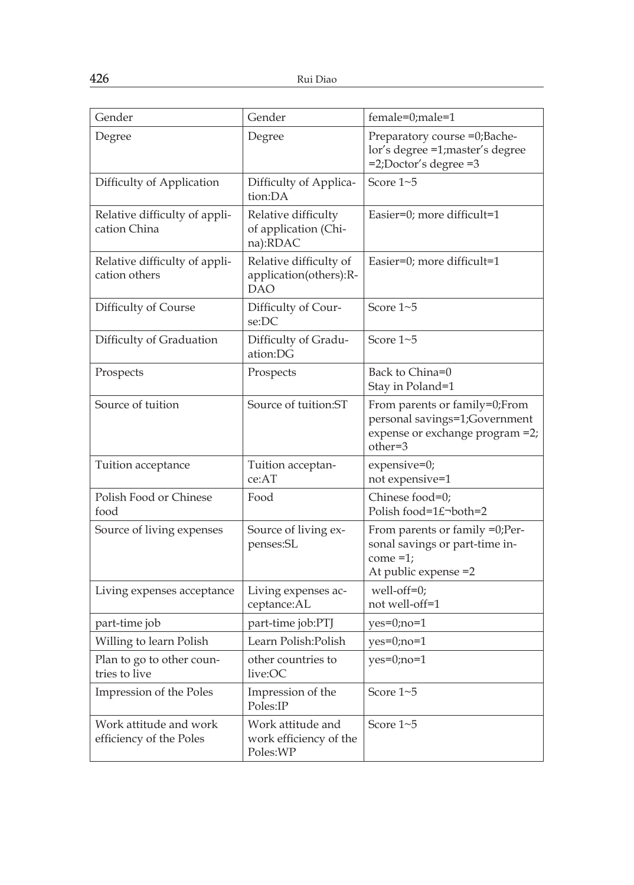| Gender                                            | Gender                                                  | female=0;male=1                                                                                              |
|---------------------------------------------------|---------------------------------------------------------|--------------------------------------------------------------------------------------------------------------|
| Degree                                            | Degree                                                  | Preparatory course =0;Bache-<br>lor's degree =1;master's degree<br>$=2$ ; Doctor's degree $=3$               |
| Difficulty of Application                         | Difficulty of Applica-<br>tion:DA                       | Score 1~5                                                                                                    |
| Relative difficulty of appli-<br>cation China     | Relative difficulty<br>of application (Chi-<br>na):RDAC | Easier=0; more difficult=1                                                                                   |
| Relative difficulty of appli-<br>cation others    | Relative difficulty of<br>application(others):R-<br>DAO | Easier=0; more difficult=1                                                                                   |
| Difficulty of Course                              | Difficulty of Cour-<br>se:DC                            | Score $1 - 5$                                                                                                |
| Difficulty of Graduation                          | Difficulty of Gradu-<br>ation:DG                        | Score $1 - 5$                                                                                                |
| Prospects                                         | Prospects                                               | Back to China=0<br>Stay in Poland=1                                                                          |
| Source of tuition                                 | Source of tuition:ST                                    | From parents or family=0;From<br>personal savings=1;Government<br>expense or exchange program =2;<br>other=3 |
| Tuition acceptance                                | Tuition acceptan-<br>ce:AT                              | expensive=0;<br>not expensive=1                                                                              |
| Polish Food or Chinese<br>food                    | Food                                                    | Chinese food=0;<br>Polish food=1£¬both=2                                                                     |
| Source of living expenses                         | Source of living ex-<br>penses:SL                       | From parents or family =0;Per-<br>sonal savings or part-time in-<br>$come = 1;$<br>At public expense = 2     |
| Living expenses acceptance                        | Living expenses ac-<br>ceptance:AL                      | well-off=0;<br>not well-off=1                                                                                |
| part-time job                                     | part-time job:PTJ                                       | $yes=0;no=1$                                                                                                 |
| Willing to learn Polish                           | Learn Polish: Polish                                    | $yes=0;no=1$                                                                                                 |
| Plan to go to other coun-<br>tries to live        | other countries to<br>live:OC                           | $yes=0;no=1$                                                                                                 |
| Impression of the Poles                           | Impression of the<br>Poles:IP                           | Score 1~5                                                                                                    |
| Work attitude and work<br>efficiency of the Poles | Work attitude and<br>work efficiency of the<br>Poles:WP | Score 1~5                                                                                                    |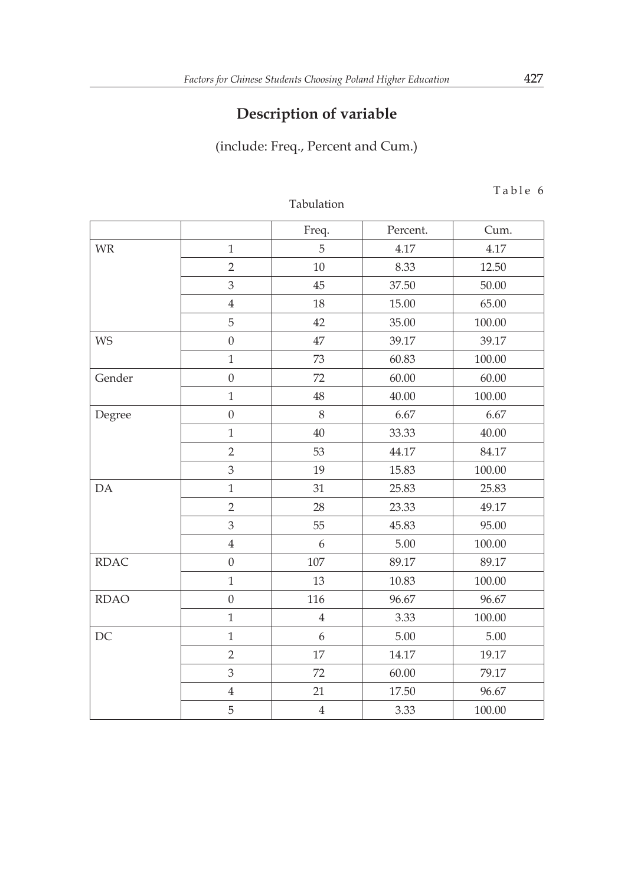# **Description of variable**

(include: Freq., Percent and Cum.)

|             |                  | Freq.            | Percent. | Cum.   |
|-------------|------------------|------------------|----------|--------|
| WR          | $\mathbf{1}$     | 5                | 4.17     | 4.17   |
|             | $\overline{2}$   | 10               | 8.33     | 12.50  |
|             | $\mathfrak{Z}$   | 45               | 37.50    | 50.00  |
|             | $\,4\,$          | 18               | 15.00    | 65.00  |
|             | 5                | 42               | 35.00    | 100.00 |
| <b>WS</b>   | $\mathbf 0$      | 47               | 39.17    | 39.17  |
|             | $\mathbf{1}$     | 73               | 60.83    | 100.00 |
| Gender      | $\mathbf 0$      | 72               | 60.00    | 60.00  |
|             | $\mathbf{1}$     | 48               | 40.00    | 100.00 |
| Degree      | $\boldsymbol{0}$ | 8                | 6.67     | 6.67   |
|             | $\mathbf{1}$     | 40               | 33.33    | 40.00  |
|             | $\overline{2}$   | 53               | 44.17    | 84.17  |
|             | 3                | 19               | 15.83    | 100.00 |
| DA          | $\mathbf{1}$     | 31               | 25.83    | 25.83  |
|             | $\overline{2}$   | 28               | 23.33    | 49.17  |
|             | 3                | 55               | 45.83    | 95.00  |
|             | $\bf 4$          | 6                | 5.00     | 100.00 |
| <b>RDAC</b> | $\overline{0}$   | 107              | 89.17    | 89.17  |
|             | $\mathbf{1}$     | 13               | 10.83    | 100.00 |
| <b>RDAO</b> | $\boldsymbol{0}$ | 116              | 96.67    | 96.67  |
|             | $\mathbf{1}$     | $\overline{4}$   | 3.33     | 100.00 |
| DC          | $\mathbf{1}$     | $\boldsymbol{6}$ | 5.00     | 5.00   |
|             | $\overline{2}$   | 17               | 14.17    | 19.17  |
|             | $\mathfrak{Z}$   | 72               | 60.00    | 79.17  |
|             | $\bf 4$          | 21               | 17.50    | 96.67  |
|             | 5                | $\overline{4}$   | 3.33     | 100.00 |

Tabulation

Table 6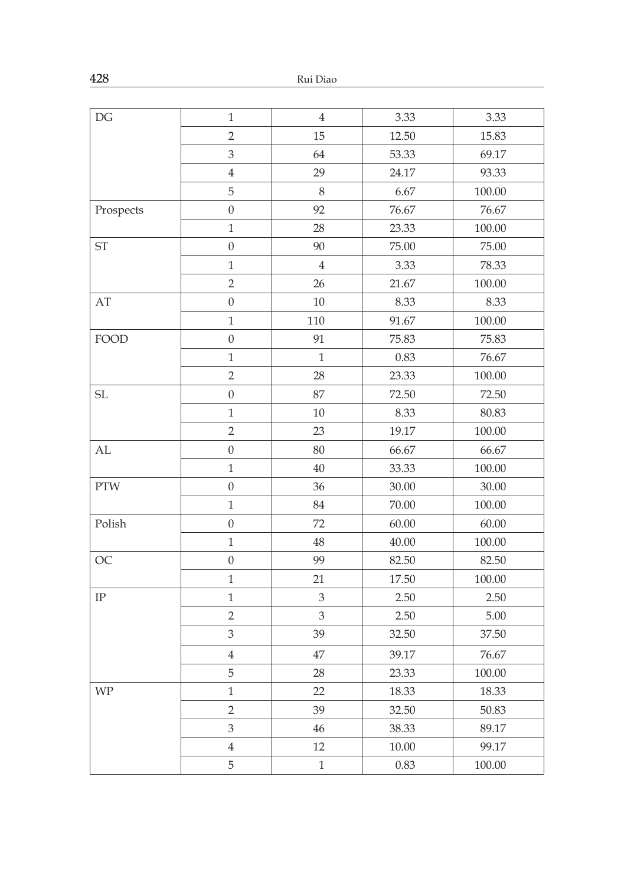| $\mathop{\rm DG}$      | $\mathbf{1}$     | $\,4\,$        | 3.33      | 3.33     |
|------------------------|------------------|----------------|-----------|----------|
|                        | $\sqrt{2}$       | 15             | 12.50     | 15.83    |
|                        | $\mathfrak{Z}$   | 64             | 53.33     | 69.17    |
|                        | $\overline{4}$   | 29             | 24.17     | 93.33    |
|                        | 5                | $\,8\,$        | 6.67      | 100.00   |
| Prospects              | $\boldsymbol{0}$ | 92             | 76.67     | 76.67    |
|                        | $\mathbf{1}$     | 28             | 23.33     | 100.00   |
| $\operatorname{ST}$    | $\boldsymbol{0}$ | 90             | 75.00     | 75.00    |
|                        | $\,1\,$          | $\bf 4$        | 3.33      | 78.33    |
|                        | $\overline{2}$   | 26             | 21.67     | 100.00   |
| $\mathbf{A}\mathbf{T}$ | $\boldsymbol{0}$ | 10             | 8.33      | 8.33     |
|                        | $\,1$            | 110            | 91.67     | 100.00   |
| FOOD                   | $\boldsymbol{0}$ | 91             | 75.83     | 75.83    |
|                        | $\mathbf{1}$     | $\mathbf{1}$   | 0.83      | 76.67    |
|                        | $\overline{2}$   | 28             | 23.33     | 100.00   |
| SL                     | $\boldsymbol{0}$ | 87             | 72.50     | 72.50    |
|                        | $\mathbf{1}$     | $10\,$         | 8.33      | 80.83    |
|                        | $\overline{2}$   | 23             | 19.17     | 100.00   |
| $\mathbf{AL}$          | $\boldsymbol{0}$ | 80             | 66.67     | 66.67    |
|                        | $\mathbf{1}$     | 40             | 33.33     | 100.00   |
| <b>PTW</b>             | $\boldsymbol{0}$ | 36             | 30.00     | 30.00    |
|                        | $\mathbf{1}$     | 84             | 70.00     | 100.00   |
| Polish                 | $\boldsymbol{0}$ | 72             | 60.00     | 60.00    |
|                        | $\mathbf{1}$     | 48             | 40.00     | 100.00   |
| OC                     | $\boldsymbol{0}$ | 99             | 82.50     | 82.50    |
|                        | $\,1$            | 21             | 17.50     | 100.00   |
| $\rm IP$               | $\mathbf{1}$     | $\mathfrak{Z}$ | 2.50      | 2.50     |
|                        | $\overline{2}$   | 3              | 2.50      | $5.00\,$ |
|                        | 3                | 39             | 32.50     | 37.50    |
|                        | $\bf 4$          | 47             | 39.17     | 76.67    |
|                        | 5                | 28             | 23.33     | 100.00   |
| <b>WP</b>              | $\mathbf{1}$     | 22             | 18.33     | 18.33    |
|                        | $\overline{2}$   | 39             | 32.50     | 50.83    |
|                        | $\mathfrak{Z}$   | $46\,$         | 38.33     | 89.17    |
|                        | $\bf 4$          | 12             | $10.00\,$ | 99.17    |
|                        | 5                | $\,1\,$        | 0.83      | 100.00   |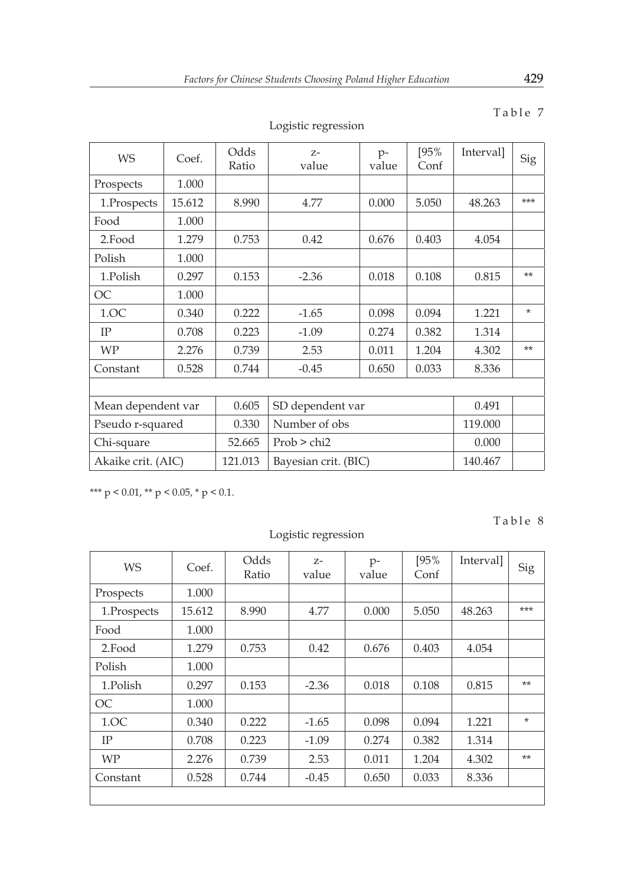| <b>WS</b>          | Coef.  | Odds<br>Ratio | $Z -$<br>value            | $p-$<br>value  | [95%<br>Conf | Interval] | <b>Sig</b> |
|--------------------|--------|---------------|---------------------------|----------------|--------------|-----------|------------|
| Prospects          | 1.000  |               |                           |                |              |           |            |
| 1.Prospects        | 15.612 | 8.990         | 4.77                      | 0.000          | 5.050        | 48.263    | ***        |
| Food               | 1.000  |               |                           |                |              |           |            |
| 2.Food             | 1.279  | 0.753         | 0.42                      | 0.676          | 0.403        | 4.054     |            |
| Polish             | 1.000  |               |                           |                |              |           |            |
| 1.Polish           | 0.297  | 0.153         | $-2.36$                   | 0.018          | 0.108        | 0.815     | $**$       |
| OC                 | 1.000  |               |                           |                |              |           |            |
| 1.OC               | 0.340  | 0.222         | $-1.65$<br>0.098<br>0.094 |                | 1.221        | $\star$   |            |
| IP                 | 0.708  | 0.223         | $-1.09$                   | 0.274          | 0.382        | 1.314     |            |
| <b>WP</b>          | 2.276  | 0.739         | 2.53                      | 0.011          | 1.204        | 4.302     | $**$       |
| Constant           | 0.528  | 0.744         | $-0.45$                   | 0.650<br>0.033 |              | 8.336     |            |
|                    |        |               |                           |                |              |           |            |
| Mean dependent var |        | 0.605         | SD dependent var          |                |              | 0.491     |            |
| Pseudo r-squared   |        | 0.330         | Number of obs             |                | 119.000      |           |            |
| Chi-square         |        | 52.665        | Prob > chi2               |                |              | 0.000     |            |
| Akaike crit. (AIC) |        | 121.013       | Bayesian crit. (BIC)      |                |              | 140.467   |            |

Logistic regression

# Table 7

\*\*\*  $p < 0.01$ , \*\*  $p < 0.05$ , \*  $p < 0.1$ .

Logistic regression

Table 8

| <b>WS</b>   | Coef.  | Odds<br>Ratio | $Z-$<br>value | $p-$<br>value | [95%<br>Conf | Interval] | Sig    |
|-------------|--------|---------------|---------------|---------------|--------------|-----------|--------|
| Prospects   | 1.000  |               |               |               |              |           |        |
| 1.Prospects | 15.612 | 8.990         | 4.77          | 0.000         | 5.050        | 48.263    | ***    |
| Food        | 1.000  |               |               |               |              |           |        |
| 2.Food      | 1.279  | 0.753         | 0.42          | 0.676         | 0.403        | 4.054     |        |
| Polish      | 1.000  |               |               |               |              |           |        |
| 1.Polish    | 0.297  | 0.153         | $-2.36$       | 0.018         | 0.108        | 0.815     | $**$   |
| OC          | 1.000  |               |               |               |              |           |        |
| 1.0C        | 0.340  | 0.222         | $-1.65$       | 0.098         | 0.094        | 1.221     | $\ast$ |
| <b>IP</b>   | 0.708  | 0.223         | $-1.09$       | 0.274         | 0.382        | 1.314     |        |
| <b>WP</b>   | 2.276  | 0.739         | 2.53          | 0.011         | 1.204        | 4.302     | $**$   |
| Constant    | 0.528  | 0.744         | $-0.45$       | 0.650         | 0.033        | 8.336     |        |
|             |        |               |               |               |              |           |        |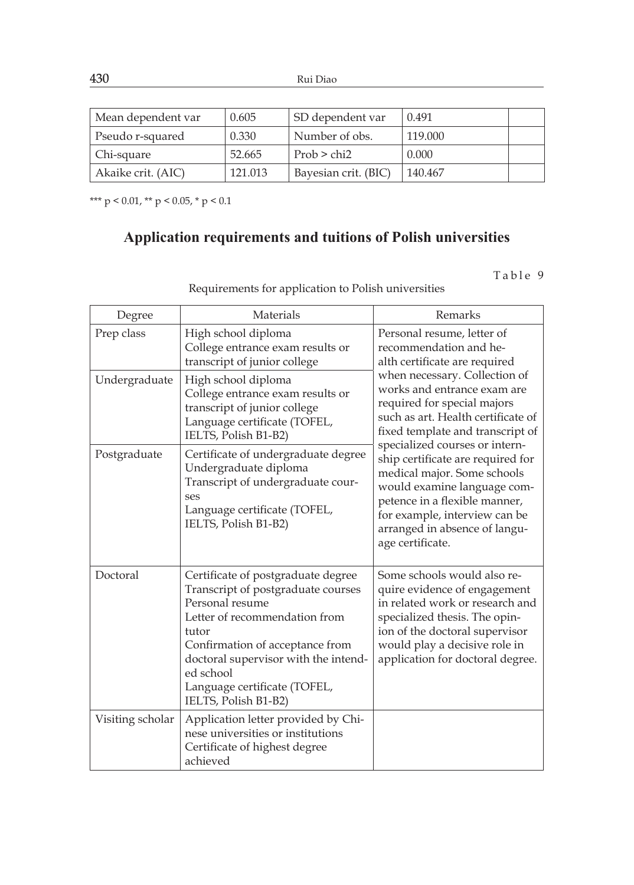| Mean dependent var | 0.605   | <b>SD</b> dependent var | 0.491   |  |
|--------------------|---------|-------------------------|---------|--|
| Pseudo r-squared   | 0.330   | Number of obs.          | 119.000 |  |
| Chi-square         | 52.665  | Prob > chi2             | 0.000   |  |
| Akaike crit. (AIC) | 121.013 | Bayesian crit. (BIC)    | 140.467 |  |

\*\*\*  $p < 0.01$ , \*\*  $p < 0.05$ , \*  $p < 0.1$ 

# **Application requirements and tuitions of Polish universities**

Table 9

Requirements for application to Polish universities

| Degree           | Materials                                                                                                                                                                                                                                                                             | Remarks                                                                                                                                                                                                                                                                                                                                                                                                                           |  |
|------------------|---------------------------------------------------------------------------------------------------------------------------------------------------------------------------------------------------------------------------------------------------------------------------------------|-----------------------------------------------------------------------------------------------------------------------------------------------------------------------------------------------------------------------------------------------------------------------------------------------------------------------------------------------------------------------------------------------------------------------------------|--|
| Prep class       | High school diploma<br>College entrance exam results or<br>transcript of junior college                                                                                                                                                                                               | Personal resume, letter of<br>recommendation and he-<br>alth certificate are required                                                                                                                                                                                                                                                                                                                                             |  |
| Undergraduate    | High school diploma<br>College entrance exam results or<br>transcript of junior college<br>Language certificate (TOFEL,<br>IELTS, Polish B1-B2)                                                                                                                                       | when necessary. Collection of<br>works and entrance exam are<br>required for special majors<br>such as art. Health certificate of<br>fixed template and transcript of<br>specialized courses or intern-<br>ship certificate are required for<br>medical major. Some schools<br>would examine language com-<br>petence in a flexible manner,<br>for example, interview can be<br>arranged in absence of langu-<br>age certificate. |  |
| Postgraduate     | Certificate of undergraduate degree<br>Undergraduate diploma<br>Transcript of undergraduate cour-<br>ses<br>Language certificate (TOFEL,<br>IELTS, Polish B1-B2)                                                                                                                      |                                                                                                                                                                                                                                                                                                                                                                                                                                   |  |
| Doctoral         | Certificate of postgraduate degree<br>Transcript of postgraduate courses<br>Personal resume<br>Letter of recommendation from<br>tutor<br>Confirmation of acceptance from<br>doctoral supervisor with the intend-<br>ed school<br>Language certificate (TOFEL,<br>IELTS, Polish B1-B2) | Some schools would also re-<br>quire evidence of engagement<br>in related work or research and<br>specialized thesis. The opin-<br>ion of the doctoral supervisor<br>would play a decisive role in<br>application for doctoral degree.                                                                                                                                                                                            |  |
| Visiting scholar | Application letter provided by Chi-<br>nese universities or institutions<br>Certificate of highest degree<br>achieved                                                                                                                                                                 |                                                                                                                                                                                                                                                                                                                                                                                                                                   |  |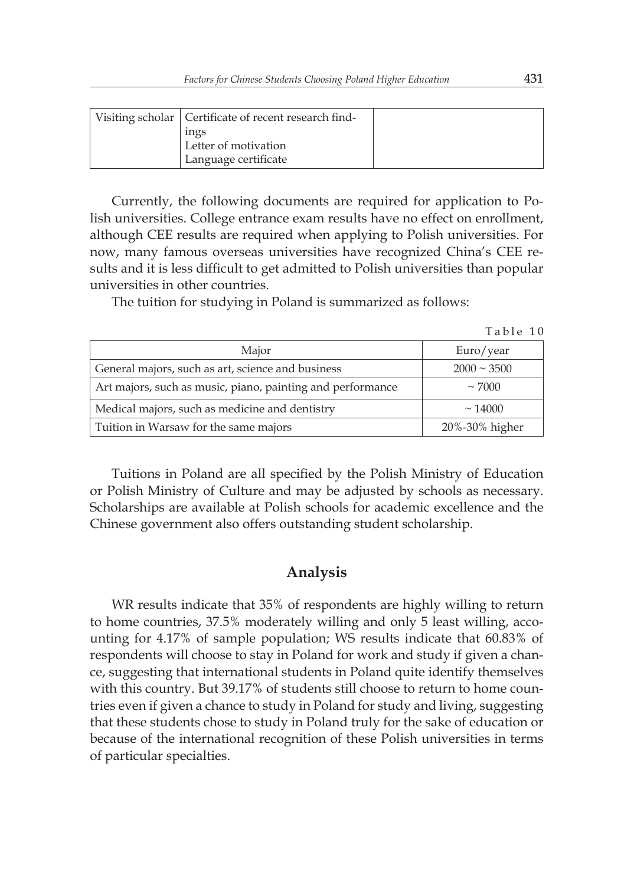| Visiting scholar   Certificate of recent research find- |  |
|---------------------------------------------------------|--|
| ings                                                    |  |
| Letter of motivation                                    |  |
| Language certificate                                    |  |

Currently, the following documents are required for application to Polish universities. College entrance exam results have no effect on enrollment, although CEE results are required when applying to Polish universities. For now, many famous overseas universities have recognized China's CEE results and it is less difficult to get admitted to Polish universities than popular universities in other countries.

The tuition for studying in Poland is summarized as follows:

| Table | 10 |  |
|-------|----|--|
|       |    |  |

| Major                                                      | Euro/year           |
|------------------------------------------------------------|---------------------|
| General majors, such as art, science and business          | $2000 \approx 3500$ |
| Art majors, such as music, piano, painting and performance | $\sim$ 7000         |
| Medical majors, such as medicine and dentistry             | $\sim$ 14000        |
| Tuition in Warsaw for the same majors                      | 20%-30% higher      |

Tuitions in Poland are all specified by the Polish Ministry of Education or Polish Ministry of Culture and may be adjusted by schools as necessary. Scholarships are available at Polish schools for academic excellence and the Chinese government also offers outstanding student scholarship.

### **Analysis**

WR results indicate that 35% of respondents are highly willing to return to home countries, 37.5% moderately willing and only 5 least willing, accounting for 4.17% of sample population; WS results indicate that 60.83% of respondents will choose to stay in Poland for work and study if given a chance, suggesting that international students in Poland quite identify themselves with this country. But 39.17% of students still choose to return to home countries even if given a chance to study in Poland for study and living, suggesting that these students chose to study in Poland truly for the sake of education or because of the international recognition of these Polish universities in terms of particular specialties.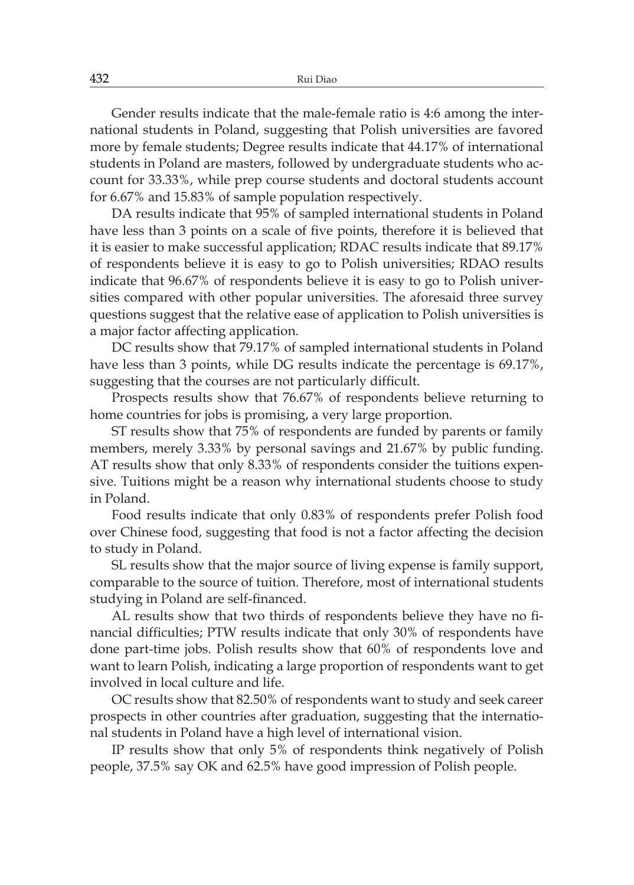Gender results indicate that the male-female ratio is 4:6 among the international students in Poland, suggesting that Polish universities are favored more by female students; Degree results indicate that 44.17% of international students in Poland are masters, followed by undergraduate students who account for 33.33%, while prep course students and doctoral students account for 6.67% and 15.83% of sample population respectively.

DA results indicate that 95% of sampled international students in Poland have less than 3 points on a scale of five points, therefore it is believed that it is easier to make successful application; RDAC results indicate that 89.17% of respondents believe it is easy to go to Polish universities; RDAO results indicate that 96.67% of respondents believe it is easy to go to Polish universities compared with other popular universities. The aforesaid three survey questions suggest that the relative ease of application to Polish universities is a major factor affecting application.

DC results show that 79.17% of sampled international students in Poland have less than 3 points, while DG results indicate the percentage is 69.17%, suggesting that the courses are not particularly difficult.

Prospects results show that 76.67% of respondents believe returning to home countries for jobs is promising, a very large proportion.

ST results show that 75% of respondents are funded by parents or family members, merely 3.33% by personal savings and 21.67% by public funding. AT results show that only 8.33% of respondents consider the tuitions expensive. Tuitions might be a reason why international students choose to study in Poland.

Food results indicate that only 0.83% of respondents prefer Polish food over Chinese food, suggesting that food is not a factor affecting the decision to study in Poland.

SL results show that the major source of living expense is family support, comparable to the source of tuition. Therefore, most of international students studying in Poland are self-financed.

AL results show that two thirds of respondents believe they have no financial difficulties; PTW results indicate that only 30% of respondents have done part-time jobs. Polish results show that 60% of respondents love and want to learn Polish, indicating a large proportion of respondents want to get involved in local culture and life.

OC results show that 82.50% of respondents want to study and seek career prospects in other countries after graduation, suggesting that the international students in Poland have a high level of international vision.

IP results show that only 5% of respondents think negatively of Polish people, 37.5% say OK and 62.5% have good impression of Polish people.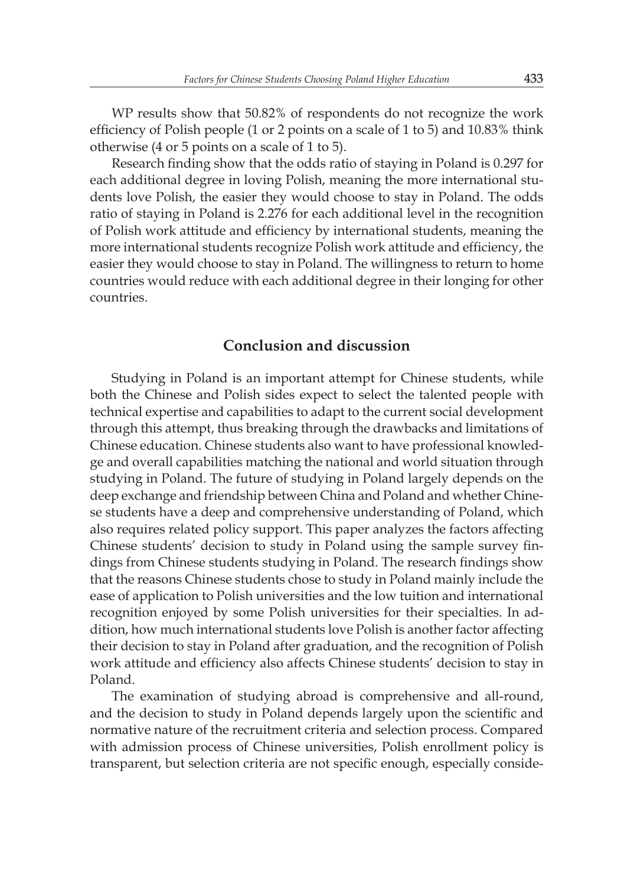WP results show that 50.82% of respondents do not recognize the work efficiency of Polish people (1 or 2 points on a scale of 1 to 5) and 10.83% think otherwise (4 or 5 points on a scale of 1 to 5).

Research finding show that the odds ratio of staying in Poland is 0.297 for each additional degree in loving Polish, meaning the more international students love Polish, the easier they would choose to stay in Poland. The odds ratio of staying in Poland is 2.276 for each additional level in the recognition of Polish work attitude and efficiency by international students, meaning the more international students recognize Polish work attitude and efficiency, the easier they would choose to stay in Poland. The willingness to return to home countries would reduce with each additional degree in their longing for other countries.

## **Conclusion and discussion**

Studying in Poland is an important attempt for Chinese students, while both the Chinese and Polish sides expect to select the talented people with technical expertise and capabilities to adapt to the current social development through this attempt, thus breaking through the drawbacks and limitations of Chinese education. Chinese students also want to have professional knowledge and overall capabilities matching the national and world situation through studying in Poland. The future of studying in Poland largely depends on the deep exchange and friendship between China and Poland and whether Chinese students have a deep and comprehensive understanding of Poland, which also requires related policy support. This paper analyzes the factors affecting Chinese students' decision to study in Poland using the sample survey findings from Chinese students studying in Poland. The research findings show that the reasons Chinese students chose to study in Poland mainly include the ease of application to Polish universities and the low tuition and international recognition enjoyed by some Polish universities for their specialties. In addition, how much international students love Polish is another factor affecting their decision to stay in Poland after graduation, and the recognition of Polish work attitude and efficiency also affects Chinese students' decision to stay in Poland.

The examination of studying abroad is comprehensive and all-round, and the decision to study in Poland depends largely upon the scientific and normative nature of the recruitment criteria and selection process. Compared with admission process of Chinese universities, Polish enrollment policy is transparent, but selection criteria are not specific enough, especially conside